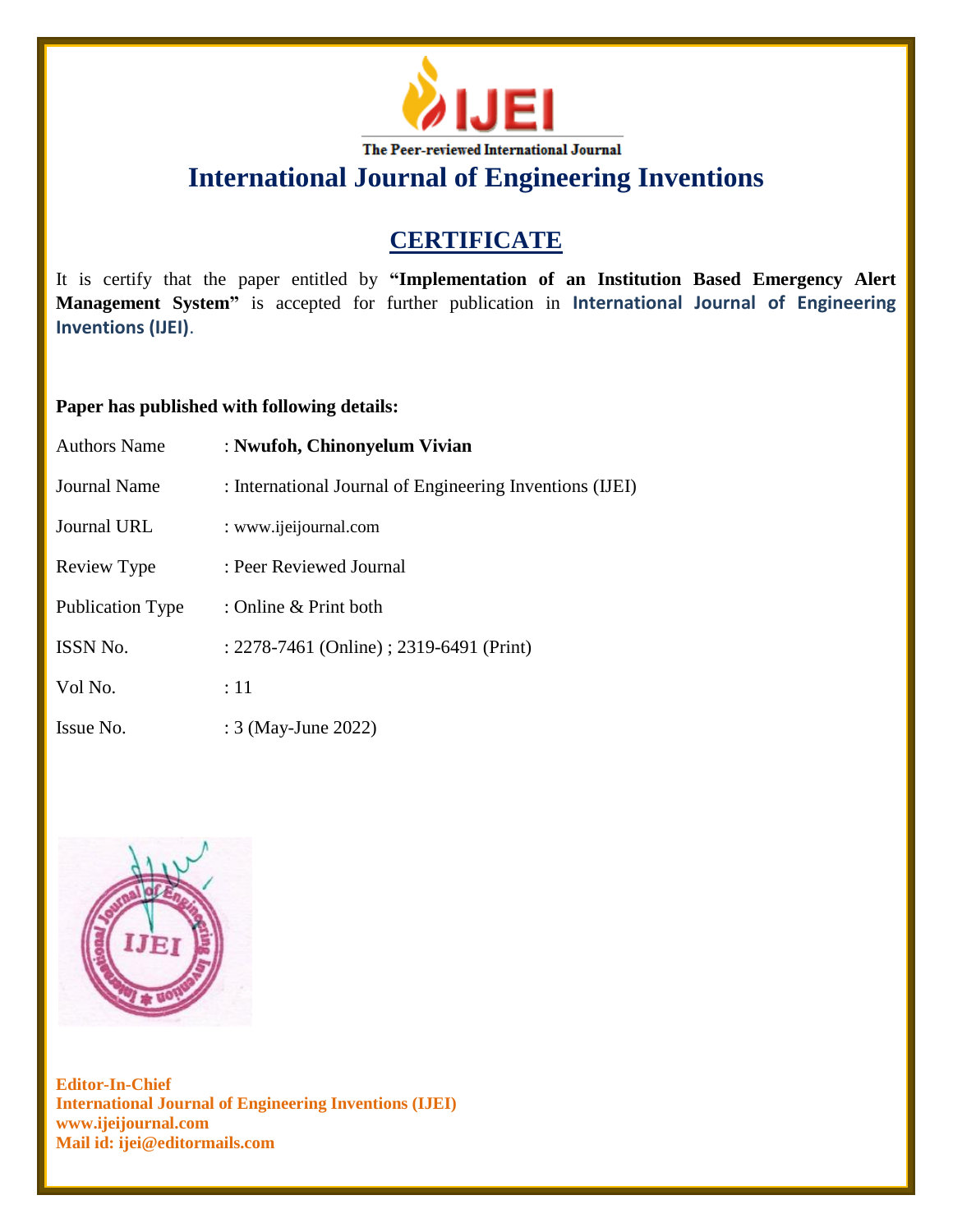

**International Journal of Engineering Inventions**

# **CERTIFICATE**

It is certify that the paper entitled by **"Implementation of an Institution Based Emergency Alert Management System"** is accepted for further publication in **International Journal of Engineering Inventions (IJEI)**.

### **Paper has published with following details:**

| <b>Authors Name</b>     | : Nwufoh, Chinonyelum Vivian                             |
|-------------------------|----------------------------------------------------------|
| Journal Name            | : International Journal of Engineering Inventions (IJEI) |
| Journal URL             | : www.ijeijournal.com                                    |
| Review Type             | : Peer Reviewed Journal                                  |
| <b>Publication Type</b> | : Online & Print both                                    |
| <b>ISSN No.</b>         | : 2278-7461 (Online) ; 2319-6491 (Print)                 |
| Vol No.                 | $\div 11$                                                |
| Issue No.               | : 3 (May-June 2022)                                      |



**Editor-In-Chief International Journal of Engineering Inventions (IJEI) www.ijeijournal.com Mail id: ijei@editormails.com**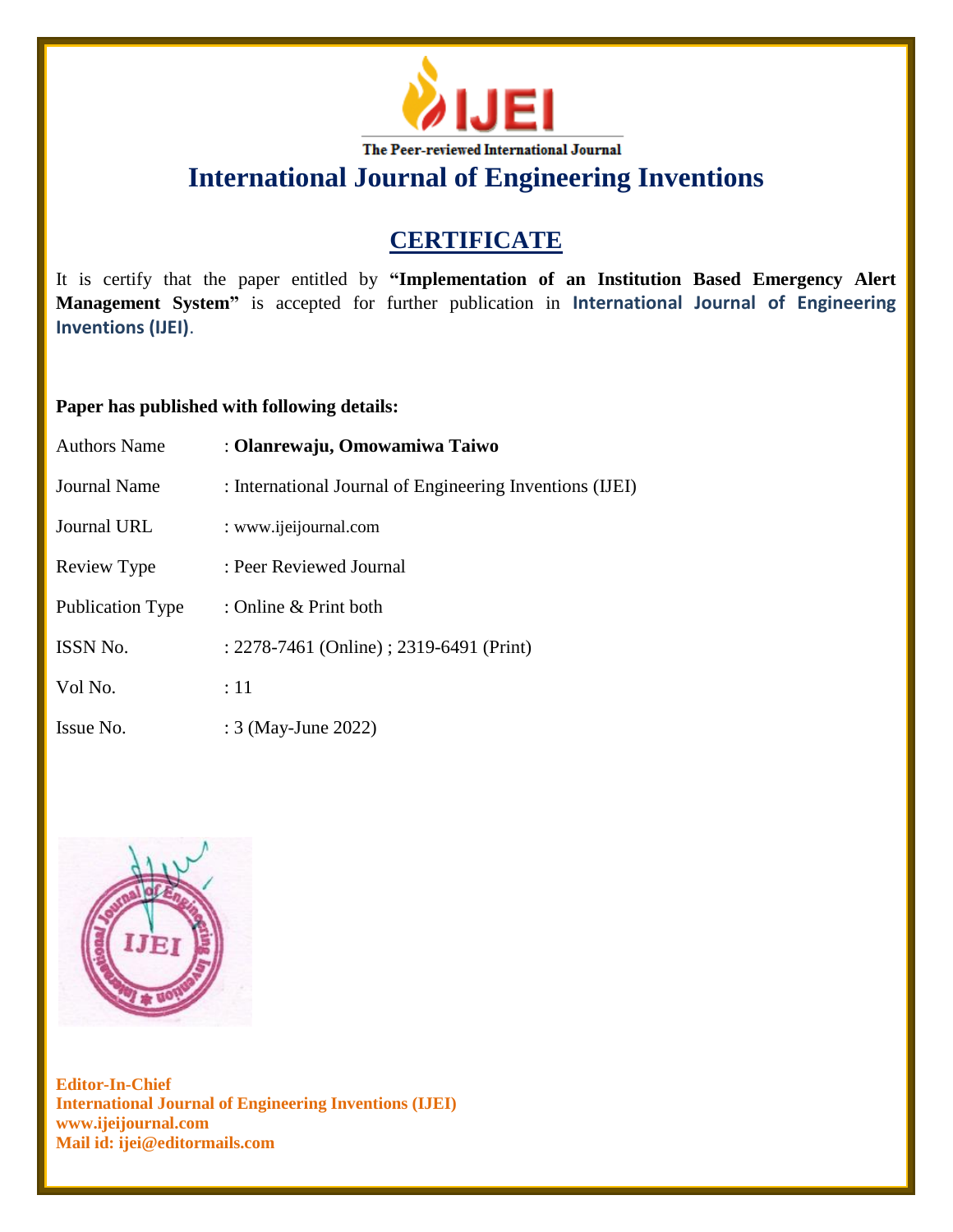

**International Journal of Engineering Inventions**

# **CERTIFICATE**

It is certify that the paper entitled by **"Implementation of an Institution Based Emergency Alert Management System"** is accepted for further publication in **International Journal of Engineering Inventions (IJEI)**.

#### **Paper has published with following details:**

| <b>Authors Name</b> | : Olanrewaju, Omowamiwa Taiwo                            |
|---------------------|----------------------------------------------------------|
| Journal Name        | : International Journal of Engineering Inventions (IJEI) |
| <b>Journal URL</b>  | : www.ijeijournal.com                                    |
| Review Type         | : Peer Reviewed Journal                                  |
| Publication Type    | : Online $\&$ Print both                                 |
| <b>ISSN No.</b>     | : 2278-7461 (Online) ; 2319-6491 (Print)                 |
| Vol No.             | $\div 11$                                                |
| Issue No.           | : 3 (May-June 2022)                                      |



**Editor-In-Chief International Journal of Engineering Inventions (IJEI) www.ijeijournal.com Mail id: ijei@editormails.com**